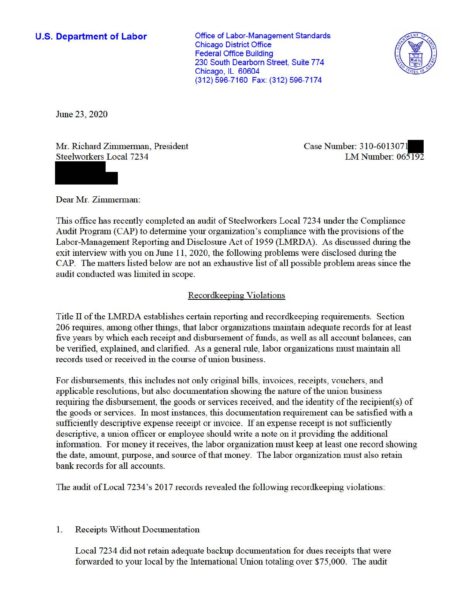## **U.S. Department of Labor**

Office of Labor-Management Standards Chicago District Office Federal Office Building 230 South Dearborn Street, Suite 774 Chicago, IL 60604 (312) 596-7160 Fax: (312) 596-7174



June 23, 2020

Mr. Richard Zimmerman, President Steelworkers Local 7234

Case Number: 310-6013071 LM Number: 065192

Dear Mr. Zimmerman:

This office has recently completed an audit of Steelworkers Local 7234 under the Compliance Audit Program (CAP) to determine your organization's compliance with the provisions of the Labor-Management Reporting and Disclosure Act of 1959 (LMRDA). As discussed during the exit interview with you on June  $11$ , 2020, the following problems were disclosed during the CAP. The matters listed below are not an exhaustive list of all possible problem areas since the audit conducted was limited in scope.

# Recordkeeping Violations

Title II of the LMRDA establishes certain reporting and recordkeeping requirements. Section 206 requires, among other things, that labor organizations maintain adequate records for at least five years by which each receipt and disbursement of funds, as well as all account balances, can be verified, explained, and clarified. As a general rule, labor organizations must maintain all records used or received in the course of union business.

For disbursements, this includes not only original bills, invoices, receipts, vouchers, and applicable resolutions, but also documentation showing the nature of the union business requiring the disbursement, the goods or services received, and the identity of the recipient(s) of the goods or services. In most instances, this documentation requirement can be satisfied with a sufficiently descriptive expense receipt or invoice. If an expense receipt is not sufficiently descriptive, a union officer or employee should write a note on it providing the additional information. For money it receives, the labor organization must keep at least one record showing the date, amount, purpose, and source of that money. The labor organization must also retain bank records for all accounts.

The audit of Local 7234's 2017 records revealed the following record keeping violations:

### 1. Receipts Without Documentation

Local 7234 did not retain adequate backup documentation for dues receipts that were forwarded to your local by the International Union totaling over \$75,000. The audit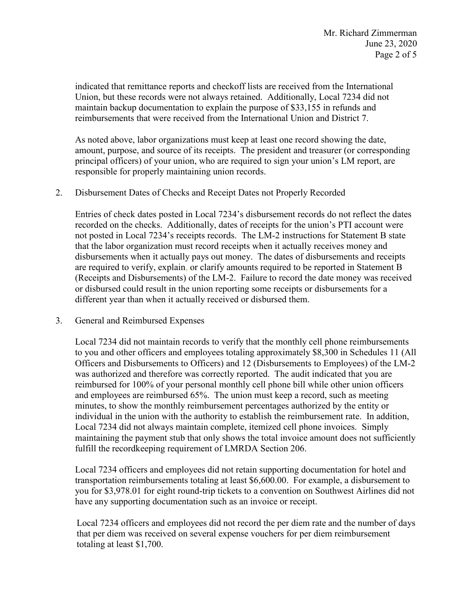Union, but these records were not always retained. Additionally, Local 7234 did not maintain backup documentation to explain the purpose of \$33,155 in refunds and indicated that remittance reports and checkoff lists are received from the International reimbursements that were received from the International Union and District 7.

As noted above, labor organizations must keep at least one record showing the date, amount, purpose, and source of its receipts. The president and treasurer (or corresponding principal officers) of your union, who are required to sign your union's LM report, are responsible for properly maintaining union records.

### 2. Disbursement Dates of Checks and Receipt Dates not Properly Recorded

 Entries of check dates posted in Local 7234's disbursement records do not reflect the dates recorded on the checks. Additionally, dates of receipts for the union's PTI account were disbursements when it actually pays out money. The dates of disbursements and receipts are required to verify, explain, or clarify amounts required to be reported in Statement B different year than when it actually received or disbursed them. not posted in Local 7234's receipts records. The LM-2 instructions for Statement B state that the labor organization must record receipts when it actually receives money and (Receipts and Disbursements) of the LM-2. Failure to record the date money was received or disbursed could result in the union reporting some receipts or disbursements for a

### 3. General and Reimbursed Expenses

 was authorized and therefore was correctly reported. The audit indicated that you are and employees are reimbursed 65%. The union must keep a record, such as meeting fulfill the recordkeeping requirement of LMRDA Section 206. Local 7234 did not maintain records to verify that the monthly cell phone reimbursements to you and other officers and employees totaling approximately \$8,300 in Schedules 11 (All Officers and Disbursements to Officers) and 12 (Disbursements to Employees) of the LM-2 reimbursed for 100% of your personal monthly cell phone bill while other union officers minutes, to show the monthly reimbursement percentages authorized by the entity or individual in the union with the authority to establish the reimbursement rate. In addition, Local 7234 did not always maintain complete, itemized cell phone invoices. Simply maintaining the payment stub that only shows the total invoice amount does not sufficiently

 Local 7234 officers and employees did not retain supporting documentation for hotel and transportation reimbursements totaling at least \$[6,600.00.](https://6,600.00) For example, a disbursement to you for [\\$3,978.01](https://3,978.01) for eight round-trip tickets to a convention on Southwest Airlines did not have any supporting documentation such as an invoice or receipt.

Local 7234 officers and employees did not record the per diem rate and the number of days that per diem was received on several expense vouchers for per diem reimbursement totaling at least \$1,700.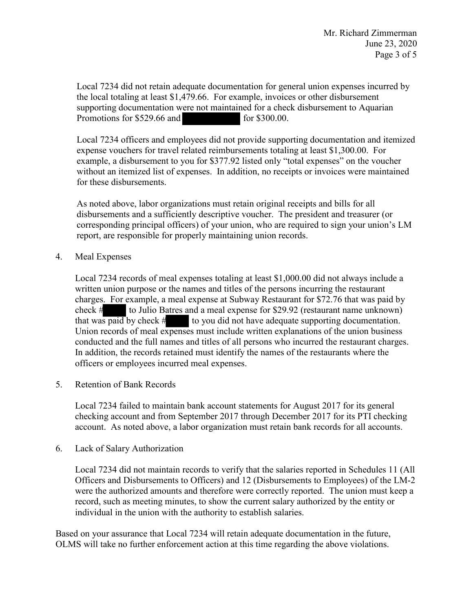Local 7234 did not retain adequate documentation for general union expenses incurred by the local totaling at least \$[1,479.66.](https://1,479.66) For example, invoices or other disbursement supporting documentation were not maintained for a check disbursement to Aquarian Promotions for \$529.66 and for \$300.00.

Local 7234 officers and employees did not provide supporting documentation and itemized expense vouchers for travel related reimbursements totaling at least [\\$1,300.00](https://1,300.00). For example, a disbursement to you for \$377.92 listed only "total expenses" on the voucher without an itemized list of expenses. In addition, no receipts or invoices were maintained for these disbursements.

 As noted above, labor organizations must retain original receipts and bills for all disbursements and a sufficiently descriptive voucher. The president and treasurer (or corresponding principal officers) of your union, who are required to sign your union's LM report, are responsible for properly maintaining union records.

4. Meal Expenses

charges. For example, a meal expense at Subway Restaurant for \$72.76 that was paid by check # to Julio Batres and a meal expense for \$29.92 (restaurant name unknown) that was paid by check # to you did not have adequate su officers or employees incurred meal expenses. 5. Retention of Bank Records Local 7234 records of meal expenses totaling at least \$[1,000.00](https://1,000.00) did not always include a written union purpose or the names and titles of the persons incurring the restaurant that was paid by check # to you did not have adequate supporting documentation. to Julio Batres and a meal expense for \$29.92 (restaurant name unknown) Union records of meal expenses must include written explanations of the union business conducted and the full names and titles of all persons who incurred the restaurant charges. In addition, the records retained must identify the names of the restaurants where the

Local 7234 failed to maintain bank account statements for August 2017 for its general checking account and from September 2017 through December 2017 for its PTI checking account. As noted above, a labor organization must retain bank records for all accounts.

6. Lack of Salary Authorization

Local 7234 did not maintain records to verify that the salaries reported in Schedules 11 (All Officers and Disbursements to Officers) and 12 (Disbursements to Employees) of the LM-2 were the authorized amounts and therefore were correctly reported. The union must keep a record, such as meeting minutes, to show the current salary authorized by the entity or individual in the union with the authority to establish salaries.

 Based on your assurance that Local 7234 will retain adequate documentation in the future, OLMS will take no further enforcement action at this time regarding the above violations.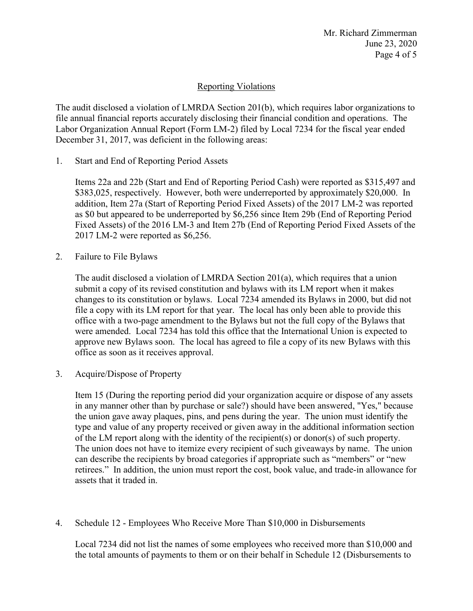# Reporting Violations

 Labor Organization Annual Report (Form LM-2) filed by Local 7234 for the fiscal year ended The audit disclosed a violation of LMRDA Section 201(b), which requires labor organizations to file annual financial reports accurately disclosing their financial condition and operations. The December 31, 2017, was deficient in the following areas:

1. Start and End of Reporting Period Assets

 Items 22a and 22b (Start and End of Reporting Period Cash) were reported as \$315,497 and \$383,025, respectively. However, both were underreported by approximately \$20,000. In addition, Item 27a (Start of Reporting Period Fixed Assets) of the 2017 LM-2 was reported as \$0 but appeared to be underreported by \$6,256 since Item 29b (End of Reporting Period 2017 LM-2 were reported as \$6,256. Fixed Assets) of the 2016 LM-3 and Item 27b (End of Reporting Period Fixed Assets of the

2. Failure to File Bylaws

 The audit disclosed a violation of LMRDA Section 201(a), which requires that a union changes to its constitution or bylaws. Local 7234 amended its Bylaws in 2000, but did not file a copy with its LM report for that year. The local has only been able to provide this were amended. Local 7234 has told this office that the International Union is expected to approve new Bylaws soon. The local has agreed to file a copy of its new Bylaws with this submit a copy of its revised constitution and bylaws with its LM report when it makes office with a two-page amendment to the Bylaws but not the full copy of the Bylaws that office as soon as it receives approval.

3. Acquire/Dispose of Property

 the union gave away plaques, pins, and pens during the year. The union must identify the type and value of any property received or given away in the additional information section can describe the recipients by broad categories if appropriate such as "members" or "new retirees." In addition, the union must report the cost, book value, and trade-in allowance for Item 15 (During the reporting period did your organization acquire or dispose of any assets in any manner other than by purchase or sale?) should have been answered, "Yes," because of the LM report along with the identity of the recipient(s) or donor(s) of such property. The union does not have to itemize every recipient of such giveaways by name. The union assets that it traded in.

4. Schedule 12 - Employees Who Receive More Than \$10,000 in Disbursements

 Local 7234 did not list the names of some employees who received more than \$10,000 and the total amounts of payments to them or on their behalf in Schedule 12 (Disbursements to